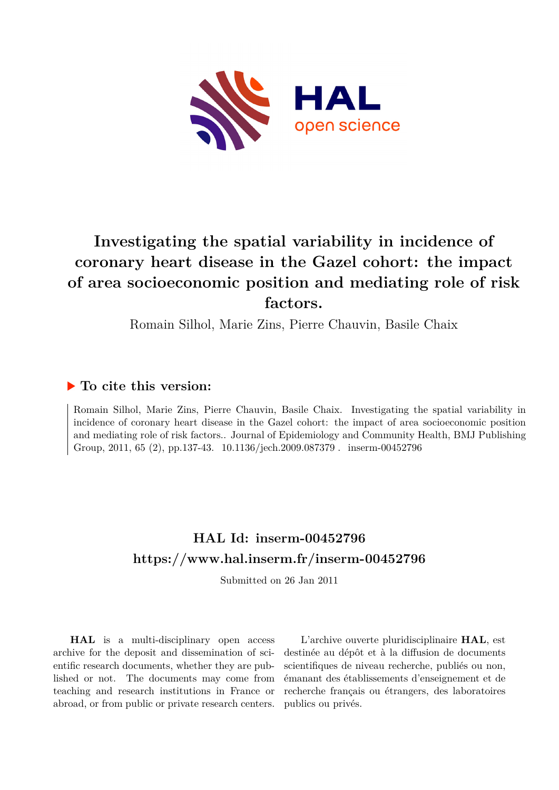

# **Investigating the spatial variability in incidence of coronary heart disease in the Gazel cohort: the impact of area socioeconomic position and mediating role of risk factors.**

Romain Silhol, Marie Zins, Pierre Chauvin, Basile Chaix

## **To cite this version:**

Romain Silhol, Marie Zins, Pierre Chauvin, Basile Chaix. Investigating the spatial variability in incidence of coronary heart disease in the Gazel cohort: the impact of area socioeconomic position and mediating role of risk factors.. Journal of Epidemiology and Community Health, BMJ Publishing Group, 2011, 65 (2), pp.137-43.  $10.1136/jech.2009.087379$ . inserm-00452796

## **HAL Id: inserm-00452796 <https://www.hal.inserm.fr/inserm-00452796>**

Submitted on 26 Jan 2011

**HAL** is a multi-disciplinary open access archive for the deposit and dissemination of scientific research documents, whether they are published or not. The documents may come from teaching and research institutions in France or abroad, or from public or private research centers.

L'archive ouverte pluridisciplinaire **HAL**, est destinée au dépôt et à la diffusion de documents scientifiques de niveau recherche, publiés ou non, émanant des établissements d'enseignement et de recherche français ou étrangers, des laboratoires publics ou privés.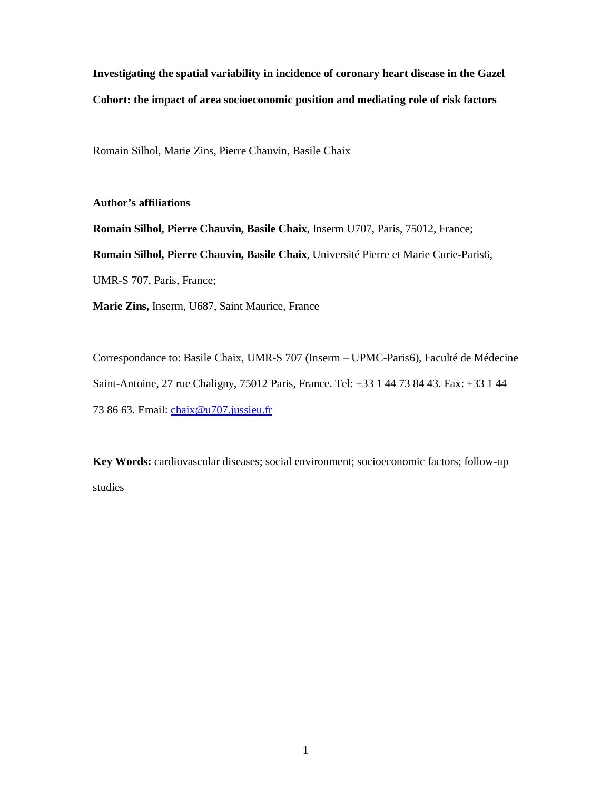**Investigating the spatial variability in incidence of coronary heart disease in the Gazel Cohort: the impact of area socioeconomic position and mediating role of risk factors** 

Romain Silhol, Marie Zins, Pierre Chauvin, Basile Chaix

**Author's affiliations** 

**Romain Silhol, Pierre Chauvin, Basile Chaix**, Inserm U707, Paris, 75012, France; **Romain Silhol, Pierre Chauvin, Basile Chaix**, Université Pierre et Marie Curie-Paris6, UMR-S 707, Paris, France; **Marie Zins,** Inserm, U687, Saint Maurice, France

Correspondance to: Basile Chaix, UMR-S 707 (Inserm – UPMC-Paris6), Faculté de Médecine Saint-Antoine, 27 rue Chaligny, 75012 Paris, France. Tel: +33 1 44 73 84 43. Fax: +33 1 44 73 86 63. Email: chaix@u707.jussieu.fr

**Key Words:** cardiovascular diseases; social environment; socioeconomic factors; follow-up studies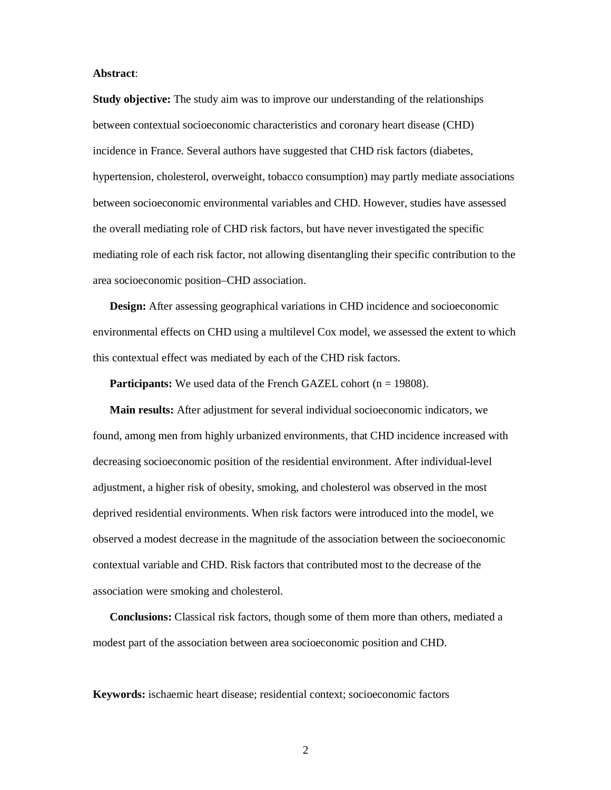#### **Abstract**:

**Study objective:** The study aim was to improve our understanding of the relationships between contextual socioeconomic characteristics and coronary heart disease (CHD) incidence in France. Several authors have suggested that CHD risk factors (diabetes, hypertension, cholesterol, overweight, tobacco consumption) may partly mediate associations between socioeconomic environmental variables and CHD. However, studies have assessed the overall mediating role of CHD risk factors, but have never investigated the specific mediating role of each risk factor, not allowing disentangling their specific contribution to the area socioeconomic position–CHD association.

**Design:** After assessing geographical variations in CHD incidence and socioeconomic environmental effects on CHD using a multilevel Cox model, we assessed the extent to which this contextual effect was mediated by each of the CHD risk factors.

**Participants:** We used data of the French GAZEL cohort (n = 19808).

**Main results:** After adjustment for several individual socioeconomic indicators, we found, among men from highly urbanized environments, that CHD incidence increased with decreasing socioeconomic position of the residential environment. After individual-level adjustment, a higher risk of obesity, smoking, and cholesterol was observed in the most deprived residential environments. When risk factors were introduced into the model, we observed a modest decrease in the magnitude of the association between the socioeconomic contextual variable and CHD. Risk factors that contributed most to the decrease of the association were smoking and cholesterol.

**Conclusions:** Classical risk factors, though some of them more than others, mediated a modest part of the association between area socioeconomic position and CHD.

**Keywords:** ischaemic heart disease; residential context; socioeconomic factors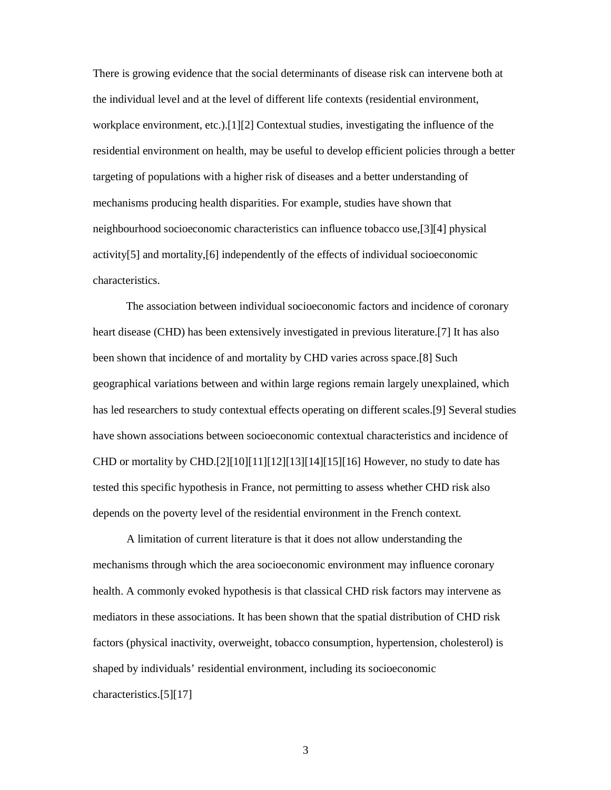There is growing evidence that the social determinants of disease risk can intervene both at the individual level and at the level of different life contexts (residential environment, workplace environment, etc.).[1][2] Contextual studies, investigating the influence of the residential environment on health, may be useful to develop efficient policies through a better targeting of populations with a higher risk of diseases and a better understanding of mechanisms producing health disparities. For example, studies have shown that neighbourhood socioeconomic characteristics can influence tobacco use,[3][4] physical activity[5] and mortality,[6] independently of the effects of individual socioeconomic characteristics.

 The association between individual socioeconomic factors and incidence of coronary heart disease (CHD) has been extensively investigated in previous literature.[7] It has also been shown that incidence of and mortality by CHD varies across space.[8] Such geographical variations between and within large regions remain largely unexplained, which has led researchers to study contextual effects operating on different scales.[9] Several studies have shown associations between socioeconomic contextual characteristics and incidence of CHD or mortality by CHD.[2][10][11][12][13][14][15][16] However, no study to date has tested this specific hypothesis in France, not permitting to assess whether CHD risk also depends on the poverty level of the residential environment in the French context.

A limitation of current literature is that it does not allow understanding the mechanisms through which the area socioeconomic environment may influence coronary health. A commonly evoked hypothesis is that classical CHD risk factors may intervene as mediators in these associations. It has been shown that the spatial distribution of CHD risk factors (physical inactivity, overweight, tobacco consumption, hypertension, cholesterol) is shaped by individuals' residential environment, including its socioeconomic characteristics.[5][17]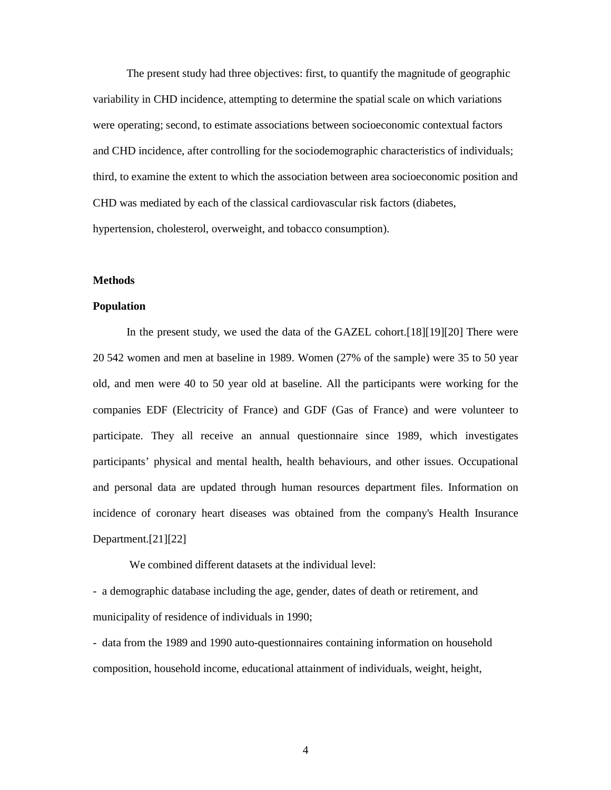The present study had three objectives: first, to quantify the magnitude of geographic variability in CHD incidence, attempting to determine the spatial scale on which variations were operating; second, to estimate associations between socioeconomic contextual factors and CHD incidence, after controlling for the sociodemographic characteristics of individuals; third, to examine the extent to which the association between area socioeconomic position and CHD was mediated by each of the classical cardiovascular risk factors (diabetes, hypertension, cholesterol, overweight, and tobacco consumption).

#### **Methods**

#### **Population**

In the present study, we used the data of the GAZEL cohort.[18][19][20] There were 20 542 women and men at baseline in 1989. Women (27% of the sample) were 35 to 50 year old, and men were 40 to 50 year old at baseline. All the participants were working for the companies EDF (Electricity of France) and GDF (Gas of France) and were volunteer to participate. They all receive an annual questionnaire since 1989, which investigates participants' physical and mental health, health behaviours, and other issues. Occupational and personal data are updated through human resources department files. Information on incidence of coronary heart diseases was obtained from the company's Health Insurance Department.[21][22]

We combined different datasets at the individual level:

- a demographic database including the age, gender, dates of death or retirement, and municipality of residence of individuals in 1990;

- data from the 1989 and 1990 auto-questionnaires containing information on household composition, household income, educational attainment of individuals, weight, height,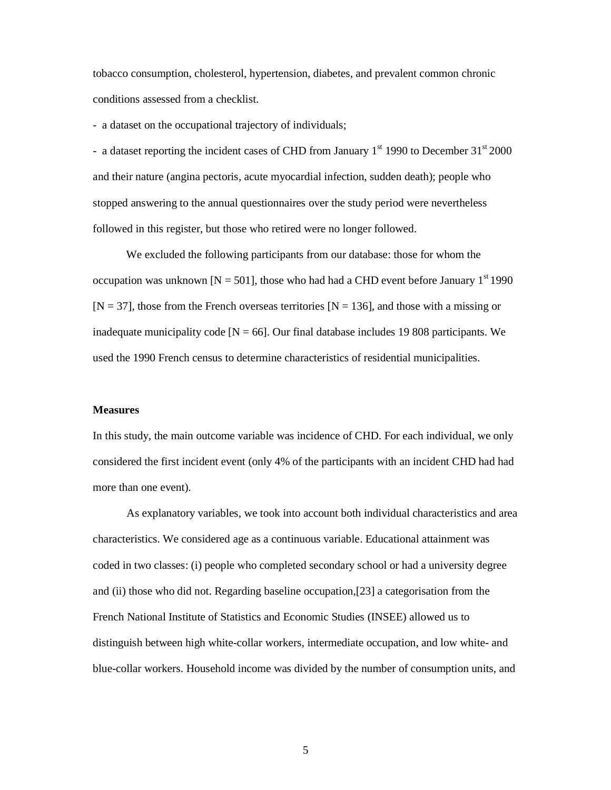tobacco consumption, cholesterol, hypertension, diabetes, and prevalent common chronic conditions assessed from a checklist.

- a dataset on the occupational trajectory of individuals;

- a dataset reporting the incident cases of CHD from January  $1<sup>st</sup> 1990$  to December  $31<sup>st</sup> 2000$ and their nature (angina pectoris, acute myocardial infection, sudden death); people who stopped answering to the annual questionnaires over the study period were nevertheless followed in this register, but those who retired were no longer followed.

We excluded the following participants from our database: those for whom the occupation was unknown [N = 501], those who had had a CHD event before January 1<sup>st</sup> 1990  $[N = 37]$ , those from the French overseas territories  $[N = 136]$ , and those with a missing or inadequate municipality code  $[N = 66]$ . Our final database includes 19 808 participants. We used the 1990 French census to determine characteristics of residential municipalities.

#### **Measures**

In this study, the main outcome variable was incidence of CHD. For each individual, we only considered the first incident event (only 4% of the participants with an incident CHD had had more than one event).

As explanatory variables, we took into account both individual characteristics and area characteristics. We considered age as a continuous variable. Educational attainment was coded in two classes: (i) people who completed secondary school or had a university degree and (ii) those who did not. Regarding baseline occupation,[23] a categorisation from the French National Institute of Statistics and Economic Studies (INSEE) allowed us to distinguish between high white-collar workers, intermediate occupation, and low white- and blue-collar workers. Household income was divided by the number of consumption units, and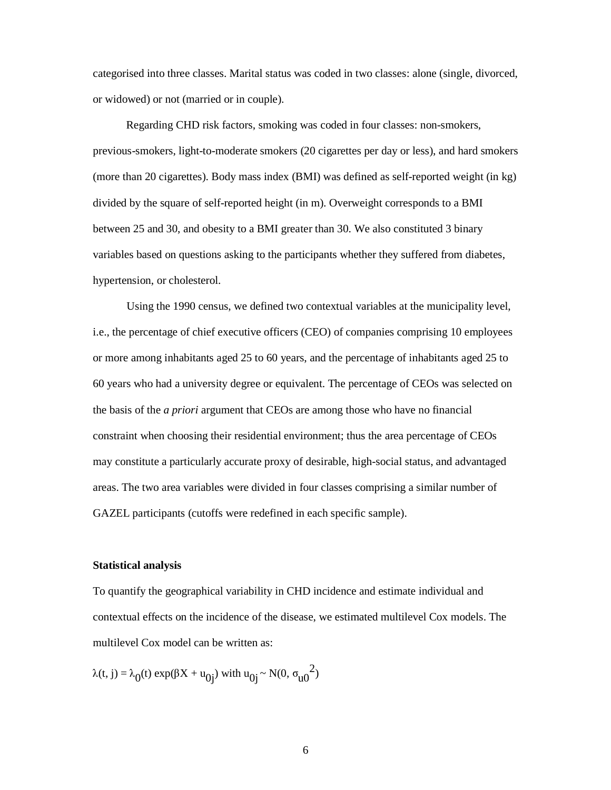categorised into three classes. Marital status was coded in two classes: alone (single, divorced, or widowed) or not (married or in couple).

Regarding CHD risk factors, smoking was coded in four classes: non-smokers, previous-smokers, light-to-moderate smokers (20 cigarettes per day or less), and hard smokers (more than 20 cigarettes). Body mass index (BMI) was defined as self-reported weight (in kg) divided by the square of self-reported height (in m). Overweight corresponds to a BMI between 25 and 30, and obesity to a BMI greater than 30. We also constituted 3 binary variables based on questions asking to the participants whether they suffered from diabetes, hypertension, or cholesterol.

Using the 1990 census, we defined two contextual variables at the municipality level, i.e., the percentage of chief executive officers (CEO) of companies comprising 10 employees or more among inhabitants aged 25 to 60 years, and the percentage of inhabitants aged 25 to 60 years who had a university degree or equivalent. The percentage of CEOs was selected on the basis of the *a priori* argument that CEOs are among those who have no financial constraint when choosing their residential environment; thus the area percentage of CEOs may constitute a particularly accurate proxy of desirable, high-social status, and advantaged areas. The two area variables were divided in four classes comprising a similar number of GAZEL participants (cutoffs were redefined in each specific sample).

#### **Statistical analysis**

To quantify the geographical variability in CHD incidence and estimate individual and contextual effects on the incidence of the disease, we estimated multilevel Cox models. The multilevel Cox model can be written as:

 $\lambda(t, j) = \lambda_0(t) \exp(\beta X + u_{0j})$  with  $u_{0j} \sim N(0, \sigma_{u0}^2)$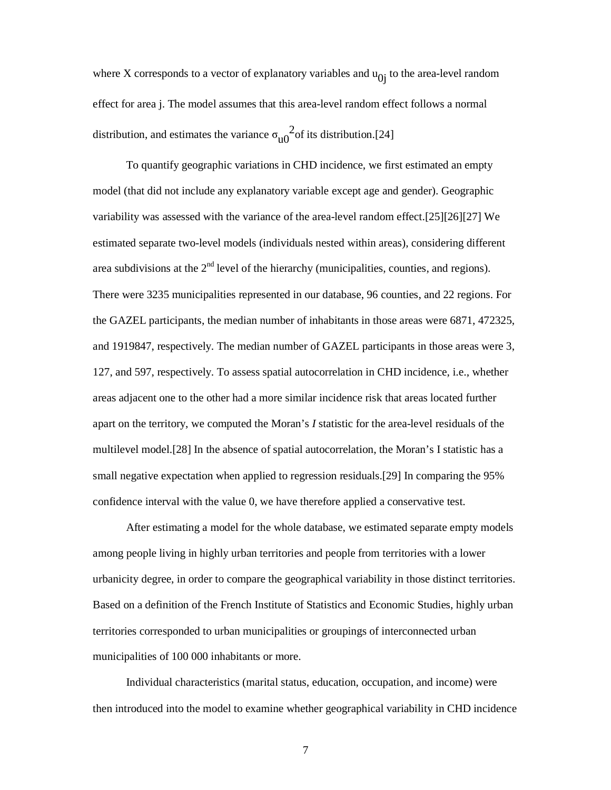where X corresponds to a vector of explanatory variables and  $u_{0i}$  to the area-level random effect for area j. The model assumes that this area-level random effect follows a normal distribution, and estimates the variance  $\sigma_{u0}^2$ <sup>2</sup> of its distribution.[24]

To quantify geographic variations in CHD incidence, we first estimated an empty model (that did not include any explanatory variable except age and gender). Geographic variability was assessed with the variance of the area-level random effect.[25][26][27] We estimated separate two-level models (individuals nested within areas), considering different area subdivisions at the  $2<sup>nd</sup>$  level of the hierarchy (municipalities, counties, and regions). There were 3235 municipalities represented in our database, 96 counties, and 22 regions. For the GAZEL participants, the median number of inhabitants in those areas were 6871, 472325, and 1919847, respectively. The median number of GAZEL participants in those areas were 3, 127, and 597, respectively. To assess spatial autocorrelation in CHD incidence, i.e., whether areas adjacent one to the other had a more similar incidence risk that areas located further apart on the territory, we computed the Moran's *I* statistic for the area-level residuals of the multilevel model.[28] In the absence of spatial autocorrelation, the Moran's I statistic has a small negative expectation when applied to regression residuals.[29] In comparing the 95% confidence interval with the value 0, we have therefore applied a conservative test.

After estimating a model for the whole database, we estimated separate empty models among people living in highly urban territories and people from territories with a lower urbanicity degree, in order to compare the geographical variability in those distinct territories. Based on a definition of the French Institute of Statistics and Economic Studies, highly urban territories corresponded to urban municipalities or groupings of interconnected urban municipalities of 100 000 inhabitants or more.

 Individual characteristics (marital status, education, occupation, and income) were then introduced into the model to examine whether geographical variability in CHD incidence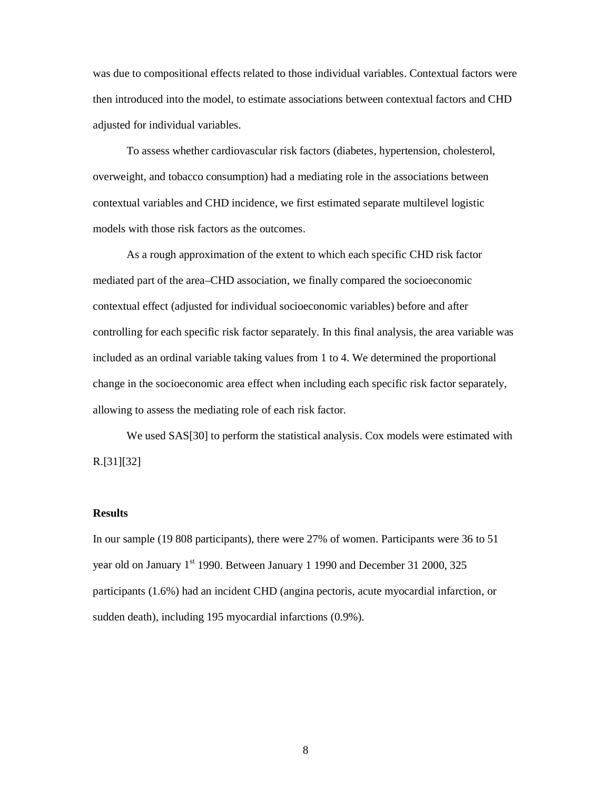was due to compositional effects related to those individual variables. Contextual factors were then introduced into the model, to estimate associations between contextual factors and CHD adjusted for individual variables.

To assess whether cardiovascular risk factors (diabetes, hypertension, cholesterol, overweight, and tobacco consumption) had a mediating role in the associations between contextual variables and CHD incidence, we first estimated separate multilevel logistic models with those risk factors as the outcomes.

As a rough approximation of the extent to which each specific CHD risk factor mediated part of the area–CHD association, we finally compared the socioeconomic contextual effect (adjusted for individual socioeconomic variables) before and after controlling for each specific risk factor separately. In this final analysis, the area variable was included as an ordinal variable taking values from 1 to 4. We determined the proportional change in the socioeconomic area effect when including each specific risk factor separately, allowing to assess the mediating role of each risk factor.

We used SAS[30] to perform the statistical analysis. Cox models were estimated with R.[31][32]

#### **Results**

In our sample (19 808 participants), there were 27% of women. Participants were 36 to 51 year old on January  $1^{st}$  1990. Between January 1 1990 and December 31 2000, 325 participants (1.6%) had an incident CHD (angina pectoris, acute myocardial infarction, or sudden death), including 195 myocardial infarctions (0.9%).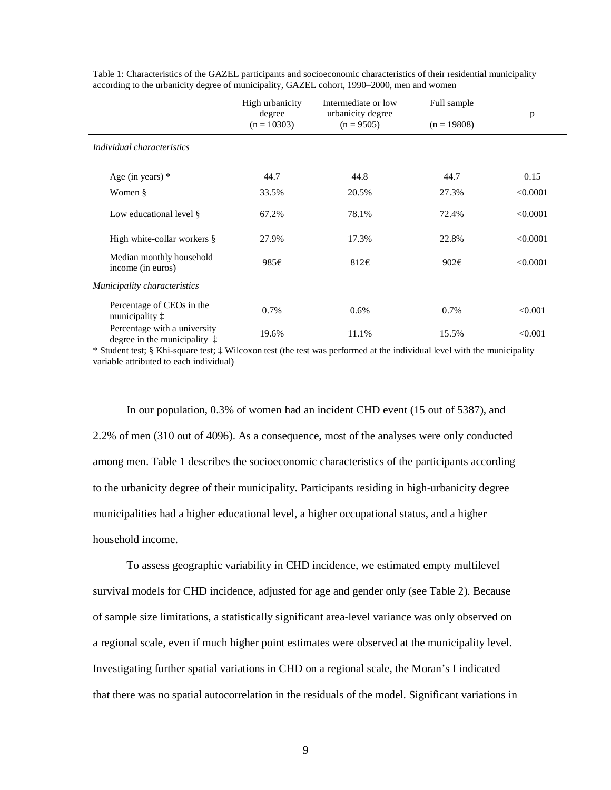|                                                                       | High urbanicity<br>degree | Intermediate or low<br>urbanicity degree | Full sample   |          |
|-----------------------------------------------------------------------|---------------------------|------------------------------------------|---------------|----------|
|                                                                       | $(n = 10303)$             | $(n = 9505)$                             | $(n = 19808)$ | p        |
| Individual characteristics                                            |                           |                                          |               |          |
| Age (in years) $*$                                                    | 44.7                      | 44.8                                     | 44.7          | 0.15     |
| Women §                                                               | 33.5%                     | 20.5%                                    | 27.3%         | < 0.0001 |
| Low educational level §                                               | 67.2%                     | 78.1%                                    | 72.4%         | < 0.0001 |
| High white-collar workers $\S$                                        | 27.9%                     | 17.3%                                    | 22.8%         | < 0.0001 |
| Median monthly household<br>income (in euros)                         | 985€                      | 812€                                     | 902€          | < 0.0001 |
| Municipality characteristics                                          |                           |                                          |               |          |
| Percentage of CEOs in the<br>municipality $\ddagger$                  | 0.7%                      | 0.6%                                     | 0.7%          | < 0.001  |
| Percentage with a university<br>degree in the municipality $\ddagger$ | 19.6%                     | 11.1%                                    | 15.5%         | < 0.001  |

Table 1: Characteristics of the GAZEL participants and socioeconomic characteristics of their residential municipality according to the urbanicity degree of municipality, GAZEL cohort, 1990–2000, men and women

\* Student test; § Khi-square test; ‡ Wilcoxon test (the test was performed at the individual level with the municipality variable attributed to each individual)

In our population, 0.3% of women had an incident CHD event (15 out of 5387), and 2.2% of men (310 out of 4096). As a consequence, most of the analyses were only conducted among men. Table 1 describes the socioeconomic characteristics of the participants according to the urbanicity degree of their municipality. Participants residing in high-urbanicity degree municipalities had a higher educational level, a higher occupational status, and a higher household income.

To assess geographic variability in CHD incidence, we estimated empty multilevel survival models for CHD incidence, adjusted for age and gender only (see Table 2). Because of sample size limitations, a statistically significant area-level variance was only observed on a regional scale, even if much higher point estimates were observed at the municipality level. Investigating further spatial variations in CHD on a regional scale, the Moran's I indicated that there was no spatial autocorrelation in the residuals of the model. Significant variations in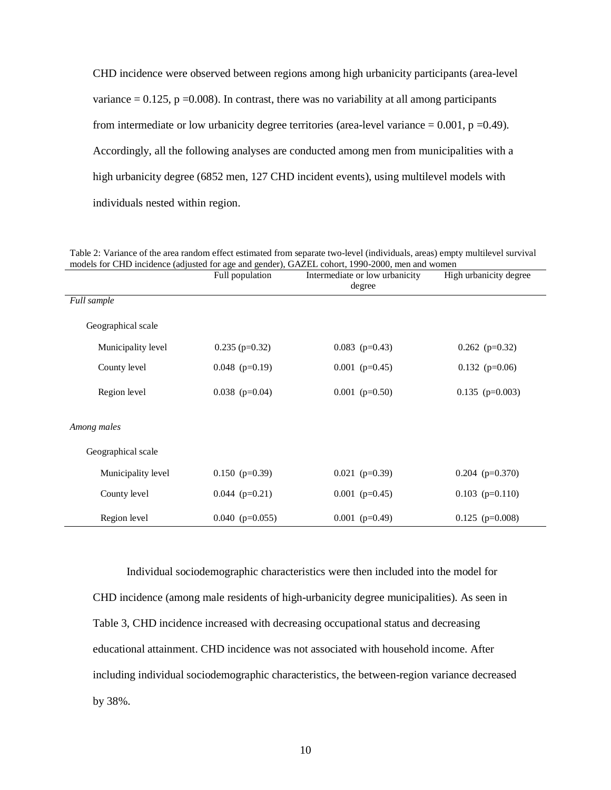CHD incidence were observed between regions among high urbanicity participants (area-level variance  $= 0.125$ , p  $= 0.008$ ). In contrast, there was no variability at all among participants from intermediate or low urbanicity degree territories (area-level variance  $= 0.001$ ,  $p = 0.49$ ). Accordingly, all the following analyses are conducted among men from municipalities with a high urbanicity degree (6852 men, 127 CHD incident events), using multilevel models with individuals nested within region.

Table 2: Variance of the area random effect estimated from separate two-level (individuals, areas) empty multilevel survival models for CHD incidence (adjusted for age and gender), GAZEL cohort, 1990-2000, men and women

|                    | Full population   | Intermediate or low urbanicity<br>degree | High urbanicity degree |  |
|--------------------|-------------------|------------------------------------------|------------------------|--|
| <b>Full</b> sample |                   |                                          |                        |  |
| Geographical scale |                   |                                          |                        |  |
| Municipality level | $0.235$ (p=0.32)  | $0.083$ (p=0.43)                         | $0.262$ (p=0.32)       |  |
| County level       | $0.048$ (p=0.19)  | $0.001$ (p=0.45)                         | $0.132$ (p=0.06)       |  |
| Region level       | $0.038$ (p=0.04)  | $0.001$ (p=0.50)                         | $0.135$ (p=0.003)      |  |
| Among males        |                   |                                          |                        |  |
| Geographical scale |                   |                                          |                        |  |
| Municipality level | $0.150$ (p=0.39)  | $0.021$ (p=0.39)                         | $0.204$ (p=0.370)      |  |
| County level       | $0.044$ (p=0.21)  | $0.001$ (p=0.45)                         | $0.103$ (p=0.110)      |  |
| Region level       | $0.040$ (p=0.055) | $0.001$ (p=0.49)                         | $0.125$ (p=0.008)      |  |

Individual sociodemographic characteristics were then included into the model for CHD incidence (among male residents of high-urbanicity degree municipalities). As seen in Table 3, CHD incidence increased with decreasing occupational status and decreasing educational attainment. CHD incidence was not associated with household income. After including individual sociodemographic characteristics, the between-region variance decreased by 38%.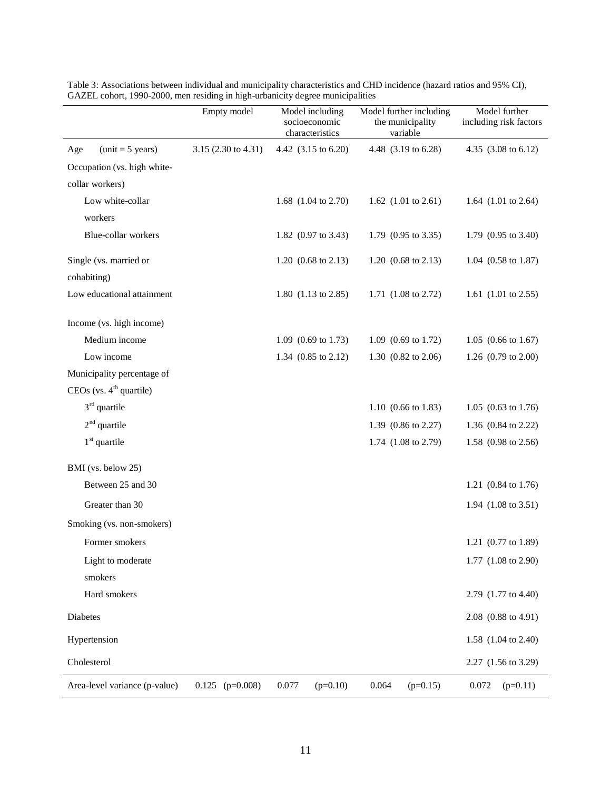|                                     | Empty model         | Model including<br>socioeconomic<br>characteristics | Model further including<br>the municipality<br>variable | Model further<br>including risk factors |
|-------------------------------------|---------------------|-----------------------------------------------------|---------------------------------------------------------|-----------------------------------------|
| $(unit = 5 years)$<br>Age           | 3.15 (2.30 to 4.31) | 4.42 (3.15 to 6.20)                                 | 4.48 (3.19 to 6.28)                                     | 4.35 (3.08 to 6.12)                     |
| Occupation (vs. high white-         |                     |                                                     |                                                         |                                         |
| collar workers)                     |                     |                                                     |                                                         |                                         |
| Low white-collar<br>workers         |                     | 1.68 (1.04 to 2.70)                                 | 1.62 $(1.01 \text{ to } 2.61)$                          | 1.64 (1.01 to 2.64)                     |
| Blue-collar workers                 |                     | 1.82 (0.97 to 3.43)                                 | 1.79 (0.95 to 3.35)                                     | 1.79 (0.95 to 3.40)                     |
| Single (vs. married or              |                     | 1.20 $(0.68 \text{ to } 2.13)$                      | 1.20 $(0.68 \text{ to } 2.13)$                          | 1.04 (0.58 to 1.87)                     |
| cohabiting)                         |                     |                                                     |                                                         |                                         |
| Low educational attainment          |                     | 1.80 (1.13 to 2.85)                                 | 1.71 (1.08 to 2.72)                                     | 1.61 (1.01 to 2.55)                     |
| Income (vs. high income)            |                     |                                                     |                                                         |                                         |
| Medium income                       |                     | 1.09 (0.69 to 1.73)                                 | 1.09 $(0.69 \text{ to } 1.72)$                          | 1.05 $(0.66 \text{ to } 1.67)$          |
| Low income                          |                     | 1.34 (0.85 to 2.12)                                 | 1.30 (0.82 to 2.06)                                     | 1.26 (0.79 to 2.00)                     |
| Municipality percentage of          |                     |                                                     |                                                         |                                         |
| CEOs (vs. 4 <sup>th</sup> quartile) |                     |                                                     |                                                         |                                         |
| $3rd$ quartile                      |                     |                                                     | 1.10 $(0.66 \text{ to } 1.83)$                          | 1.05 $(0.63 \text{ to } 1.76)$          |
| $2nd$ quartile                      |                     |                                                     | 1.39 (0.86 to 2.27)                                     | 1.36 (0.84 to 2.22)                     |
| $1st$ quartile                      |                     |                                                     | 1.74 (1.08 to 2.79)                                     | 1.58 (0.98 to 2.56)                     |
| BMI (vs. below 25)                  |                     |                                                     |                                                         |                                         |
| Between 25 and 30                   |                     |                                                     |                                                         | 1.21 (0.84 to 1.76)                     |
| Greater than 30                     |                     |                                                     |                                                         | 1.94 (1.08 to 3.51)                     |
| Smoking (vs. non-smokers)           |                     |                                                     |                                                         |                                         |
| Former smokers                      |                     |                                                     |                                                         | 1.21 (0.77 to 1.89)                     |
| Light to moderate<br>smokers        |                     |                                                     |                                                         | 1.77 (1.08 to 2.90)                     |
| Hard smokers                        |                     |                                                     |                                                         | 2.79 (1.77 to 4.40)                     |
| Diabetes                            |                     |                                                     |                                                         | 2.08 (0.88 to 4.91)                     |
| Hypertension                        |                     |                                                     |                                                         | 1.58 (1.04 to 2.40)                     |
| Cholesterol                         |                     |                                                     |                                                         | 2.27 (1.56 to 3.29)                     |
| Area-level variance (p-value)       | $0.125$ (p=0.008)   | 0.077<br>$(p=0.10)$                                 | 0.064<br>$(p=0.15)$                                     | 0.072<br>$(p=0.11)$                     |

Table 3: Associations between individual and municipality characteristics and CHD incidence (hazard ratios and 95% CI), GAZEL cohort, 1990-2000, men residing in high-urbanicity degree municipalities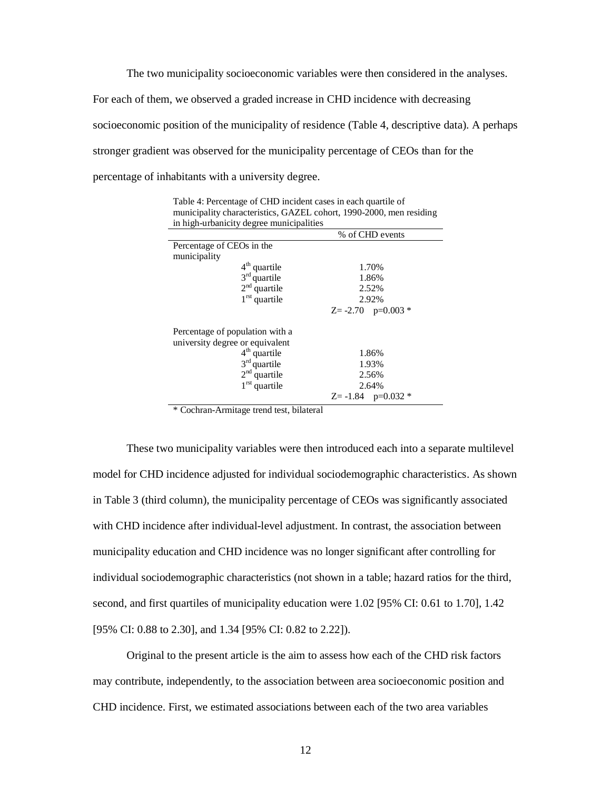The two municipality socioeconomic variables were then considered in the analyses. For each of them, we observed a graded increase in CHD incidence with decreasing socioeconomic position of the municipality of residence (Table 4, descriptive data). A perhaps stronger gradient was observed for the municipality percentage of CEOs than for the percentage of inhabitants with a university degree.

% of CHD events Percentage of CEOs in the municipality  $4<sup>th</sup>$  quartile  $3<sup>rd</sup>$  quartile  $2<sup>nd</sup>$  quartile  $\overline{1}^{\text{rst}}$  quartile 1.70% 1.86% 2.52% 2.92%  $Z = -2.70$  p=0.003  $*$ Percentage of population with a university degree or equivalent 4<sup>th</sup> quartile  $3<sup>rd</sup>$  quartile  $2<sup>nd</sup>$  quartile  $1^{\text{rst}}$  quartile 1.86% 1.93% 2.56% 2.64%  $Z = -1.84$  p=0.032  $*$ 

Table 4: Percentage of CHD incident cases in each quartile of municipality characteristics, GAZEL cohort, 1990-2000, men residing in high-urbanicity degree municipalities

\* Cochran-Armitage trend test, bilateral

These two municipality variables were then introduced each into a separate multilevel model for CHD incidence adjusted for individual sociodemographic characteristics. As shown in Table 3 (third column), the municipality percentage of CEOs was significantly associated with CHD incidence after individual-level adjustment. In contrast, the association between municipality education and CHD incidence was no longer significant after controlling for individual sociodemographic characteristics (not shown in a table; hazard ratios for the third, second, and first quartiles of municipality education were 1.02 [95% CI: 0.61 to 1.70], 1.42 [95% CI: 0.88 to 2.30], and 1.34 [95% CI: 0.82 to 2.22]).

Original to the present article is the aim to assess how each of the CHD risk factors may contribute, independently, to the association between area socioeconomic position and CHD incidence. First, we estimated associations between each of the two area variables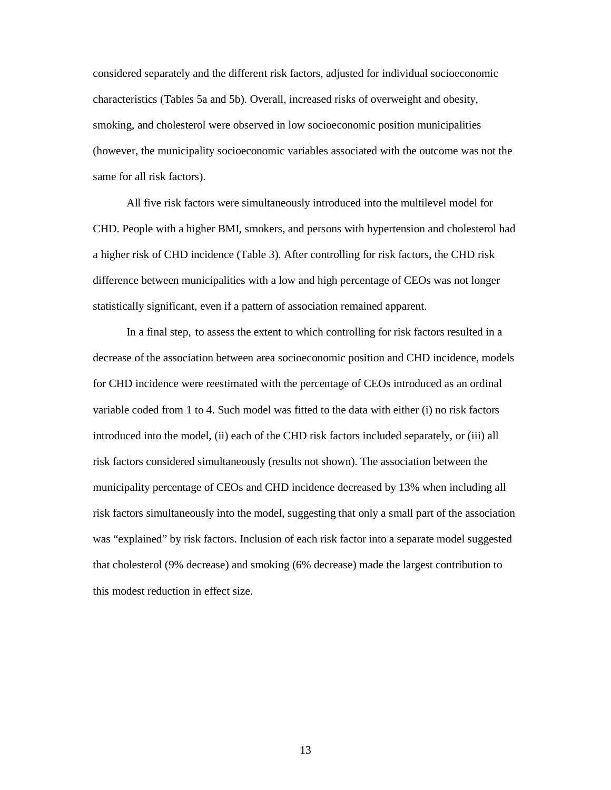considered separately and the different risk factors, adjusted for individual socioeconomic characteristics (Tables 5a and 5b). Overall, increased risks of overweight and obesity, smoking, and cholesterol were observed in low socioeconomic position municipalities (however, the municipality socioeconomic variables associated with the outcome was not the same for all risk factors).

All five risk factors were simultaneously introduced into the multilevel model for CHD. People with a higher BMI, smokers, and persons with hypertension and cholesterol had a higher risk of CHD incidence (Table 3). After controlling for risk factors, the CHD risk difference between municipalities with a low and high percentage of CEOs was not longer statistically significant, even if a pattern of association remained apparent.

In a final step, to assess the extent to which controlling for risk factors resulted in a decrease of the association between area socioeconomic position and CHD incidence, models for CHD incidence were reestimated with the percentage of CEOs introduced as an ordinal variable coded from 1 to 4. Such model was fitted to the data with either (i) no risk factors introduced into the model, (ii) each of the CHD risk factors included separately, or (iii) all risk factors considered simultaneously (results not shown). The association between the municipality percentage of CEOs and CHD incidence decreased by 13% when including all risk factors simultaneously into the model, suggesting that only a small part of the association was "explained" by risk factors. Inclusion of each risk factor into a separate model suggested that cholesterol (9% decrease) and smoking (6% decrease) made the largest contribution to this modest reduction in effect size.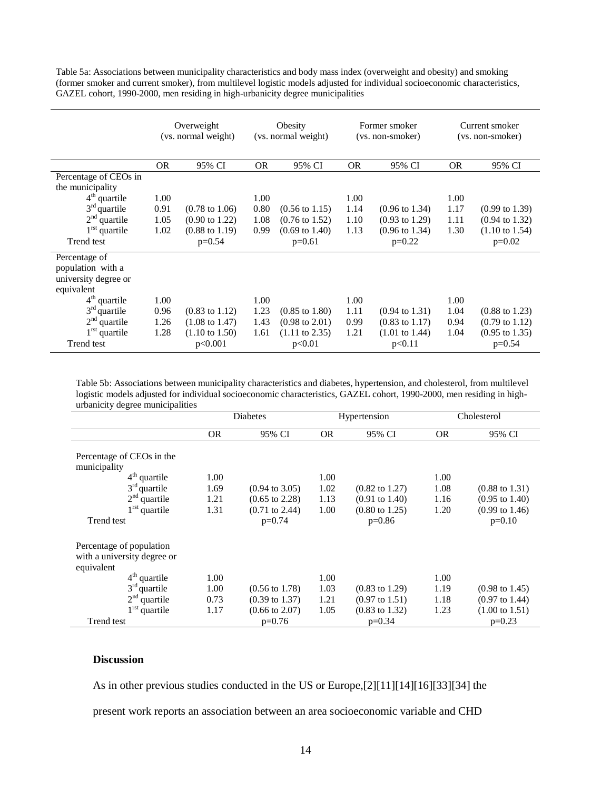Table 5a: Associations between municipality characteristics and body mass index (overweight and obesity) and smoking (former smoker and current smoker), from multilevel logistic models adjusted for individual socioeconomic characteristics, GAZEL cohort, 1990-2000, men residing in high-urbanicity degree municipalities

|                                                                          | Overweight<br>(vs. normal weight) |                           | Obesity<br>(vs. normal weight) |                           | Former smoker<br>(vs. non-smoker) |                           | Current smoker<br>(vs. non-smoker) |                           |
|--------------------------------------------------------------------------|-----------------------------------|---------------------------|--------------------------------|---------------------------|-----------------------------------|---------------------------|------------------------------------|---------------------------|
|                                                                          | <b>OR</b>                         | 95% CI                    | OR.                            | 95% CI                    | <b>OR</b>                         | 95% CI                    | <b>OR</b>                          | 95% CI                    |
| Percentage of CEOs in                                                    |                                   |                           |                                |                           |                                   |                           |                                    |                           |
| the municipality                                                         |                                   |                           |                                |                           |                                   |                           |                                    |                           |
| $4th$ quartile                                                           | 1.00                              |                           | 1.00                           |                           | 1.00                              |                           | 1.00                               |                           |
| $3rd$ quartile                                                           | 0.91                              | $(0.78 \text{ to } 1.06)$ | 0.80                           | $(0.56 \text{ to } 1.15)$ | 1.14                              | $(0.96 \text{ to } 1.34)$ | 1.17                               | $(0.99 \text{ to } 1.39)$ |
| $2nd$ quartile                                                           | 1.05                              | $(0.90 \text{ to } 1.22)$ | 1.08                           | $(0.76 \text{ to } 1.52)$ | 1.10                              | $(0.93 \text{ to } 1.29)$ | 1.11                               | $(0.94 \text{ to } 1.32)$ |
| $1rst$ quartile                                                          | 1.02                              | $(0.88 \text{ to } 1.19)$ | 0.99                           | $(0.69 \text{ to } 1.40)$ | 1.13                              | $(0.96 \text{ to } 1.34)$ | 1.30                               | $(1.10 \text{ to } 1.54)$ |
| Trend test                                                               |                                   | $p=0.54$                  |                                | $p=0.61$                  |                                   | $p=0.22$                  |                                    | $p=0.02$                  |
| Percentage of<br>population with a<br>university degree or<br>equivalent |                                   |                           |                                |                           |                                   |                           |                                    |                           |
| $4th$ quartile                                                           | 1.00                              |                           | 1.00                           |                           | 1.00                              |                           | 1.00                               |                           |
| $3rd$ quartile                                                           | 0.96                              | $(0.83 \text{ to } 1.12)$ | 1.23                           | $(0.85 \text{ to } 1.80)$ | 1.11                              | $(0.94 \text{ to } 1.31)$ | 1.04                               | $(0.88 \text{ to } 1.23)$ |
| $2nd$ quartile                                                           | 1.26                              | $(1.08 \text{ to } 1.47)$ | 1.43                           | $(0.98 \text{ to } 2.01)$ | 0.99                              | $(0.83 \text{ to } 1.17)$ | 0.94                               | $(0.79 \text{ to } 1.12)$ |
| $1rst$ quartile                                                          | 1.28                              | $(1.10 \text{ to } 1.50)$ | 1.61                           | $(1.11 \text{ to } 2.35)$ | 1.21                              | $(1.01 \text{ to } 1.44)$ | 1.04                               | $(0.95 \text{ to } 1.35)$ |
| Trend test                                                               |                                   | p<0.001                   |                                | p<0.01                    |                                   | p<0.11                    |                                    | $p=0.54$                  |

Table 5b: Associations between municipality characteristics and diabetes, hypertension, and cholesterol, from multilevel logistic models adjusted for individual socioeconomic characteristics, GAZEL cohort, 1990-2000, men residing in highurbanicity degree municipalities

|                                                                       | Diabetes  |                           | Hypertension |                           | Cholesterol |                           |
|-----------------------------------------------------------------------|-----------|---------------------------|--------------|---------------------------|-------------|---------------------------|
|                                                                       | <b>OR</b> | 95% CI                    | <b>OR</b>    | 95% CI                    | <b>OR</b>   | 95% CI                    |
| Percentage of CEOs in the<br>municipality                             |           |                           |              |                           |             |                           |
| $4th$ quartile                                                        | 1.00      |                           | 1.00         |                           | 1.00        |                           |
| $3rd$ quartile                                                        | 1.69      | $(0.94 \text{ to } 3.05)$ | 1.02         | $(0.82 \text{ to } 1.27)$ | 1.08        | $(0.88 \text{ to } 1.31)$ |
| $2nd$ quartile                                                        | 1.21      | $(0.65 \text{ to } 2.28)$ | 1.13         | $(0.91 \text{ to } 1.40)$ | 1.16        | $(0.95 \text{ to } 1.40)$ |
| $1^{\text{rst}}$ quartile                                             | 1.31      | $(0.71 \text{ to } 2.44)$ | 1.00         | $(0.80 \text{ to } 1.25)$ | 1.20        | $(0.99 \text{ to } 1.46)$ |
| Trend test                                                            |           | $p=0.74$                  |              | $p=0.86$                  |             | $p=0.10$                  |
| Percentage of population<br>with a university degree or<br>equivalent |           |                           |              |                           |             |                           |
| $4th$ quartile                                                        | 1.00      |                           | 1.00         |                           | 1.00        |                           |
| $3rd$ quartile                                                        | 1.00      | $(0.56 \text{ to } 1.78)$ | 1.03         | $(0.83 \text{ to } 1.29)$ | 1.19        | $(0.98 \text{ to } 1.45)$ |
| $2nd$ quartile                                                        | 0.73      | $(0.39 \text{ to } 1.37)$ | 1.21         | $(0.97 \text{ to } 1.51)$ | 1.18        | $(0.97 \text{ to } 1.44)$ |
| $1^{\text{rst}}$ quartile                                             | 1.17      | $(0.66 \text{ to } 2.07)$ | 1.05         | $(0.83 \text{ to } 1.32)$ | 1.23        | $(1.00 \text{ to } 1.51)$ |
| Trend test                                                            |           | $p=0.76$                  |              | $p=0.34$                  |             | $p=0.23$                  |

#### **Discussion**

As in other previous studies conducted in the US or Europe,[2][11][14][16][33][34] the

present work reports an association between an area socioeconomic variable and CHD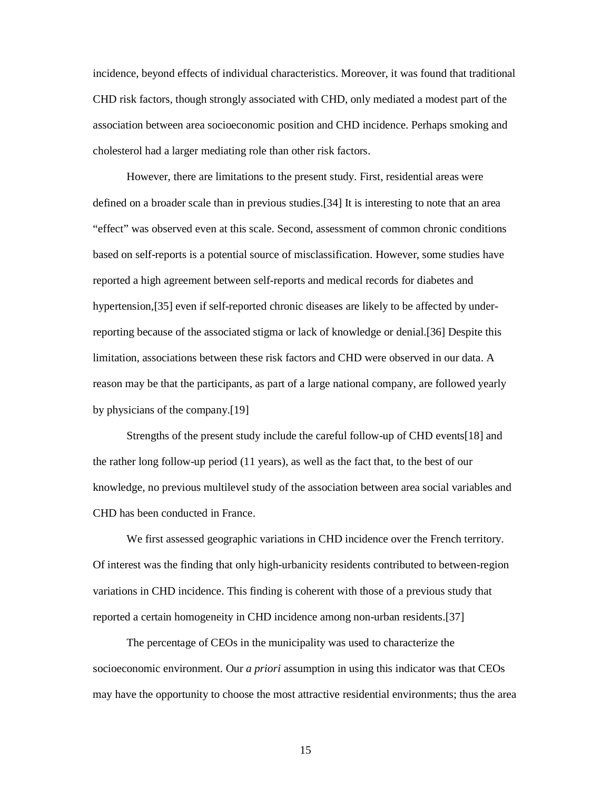incidence, beyond effects of individual characteristics. Moreover, it was found that traditional CHD risk factors, though strongly associated with CHD, only mediated a modest part of the association between area socioeconomic position and CHD incidence. Perhaps smoking and cholesterol had a larger mediating role than other risk factors.

However, there are limitations to the present study. First, residential areas were defined on a broader scale than in previous studies.[34] It is interesting to note that an area "effect" was observed even at this scale. Second, assessment of common chronic conditions based on self-reports is a potential source of misclassification. However, some studies have reported a high agreement between self-reports and medical records for diabetes and hypertension,[35] even if self-reported chronic diseases are likely to be affected by underreporting because of the associated stigma or lack of knowledge or denial.[36] Despite this limitation, associations between these risk factors and CHD were observed in our data. A reason may be that the participants, as part of a large national company, are followed yearly by physicians of the company.[19]

Strengths of the present study include the careful follow-up of CHD events[18] and the rather long follow-up period (11 years), as well as the fact that, to the best of our knowledge, no previous multilevel study of the association between area social variables and CHD has been conducted in France.

We first assessed geographic variations in CHD incidence over the French territory. Of interest was the finding that only high-urbanicity residents contributed to between-region variations in CHD incidence. This finding is coherent with those of a previous study that reported a certain homogeneity in CHD incidence among non-urban residents.[37]

The percentage of CEOs in the municipality was used to characterize the socioeconomic environment. Our *a priori* assumption in using this indicator was that CEOs may have the opportunity to choose the most attractive residential environments; thus the area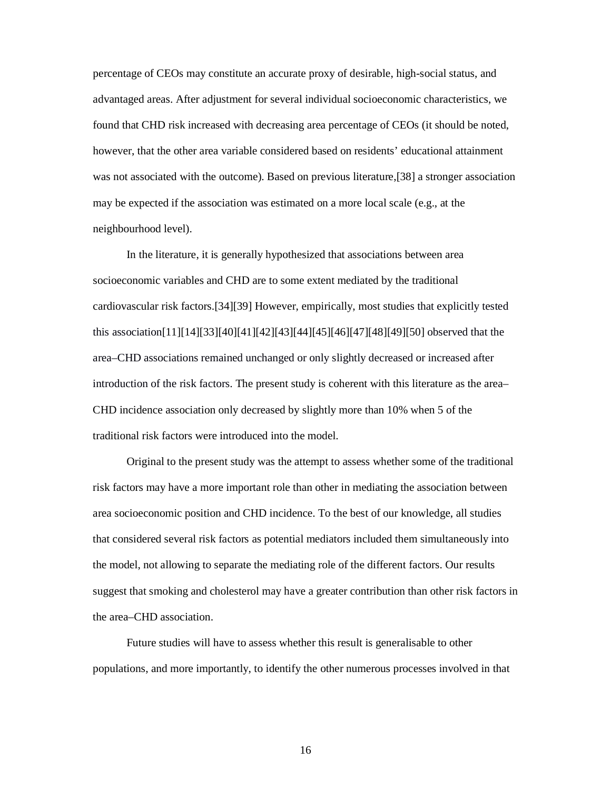percentage of CEOs may constitute an accurate proxy of desirable, high-social status, and advantaged areas. After adjustment for several individual socioeconomic characteristics, we found that CHD risk increased with decreasing area percentage of CEOs (it should be noted, however, that the other area variable considered based on residents' educational attainment was not associated with the outcome). Based on previous literature,[38] a stronger association may be expected if the association was estimated on a more local scale (e.g., at the neighbourhood level).

In the literature, it is generally hypothesized that associations between area socioeconomic variables and CHD are to some extent mediated by the traditional cardiovascular risk factors.[34][39] However, empirically, most studies that explicitly tested this association[11][14][33][40][41][42][43][44][45][46][47][48][49][50] observed that the area–CHD associations remained unchanged or only slightly decreased or increased after introduction of the risk factors. The present study is coherent with this literature as the area– CHD incidence association only decreased by slightly more than 10% when 5 of the traditional risk factors were introduced into the model.

Original to the present study was the attempt to assess whether some of the traditional risk factors may have a more important role than other in mediating the association between area socioeconomic position and CHD incidence. To the best of our knowledge, all studies that considered several risk factors as potential mediators included them simultaneously into the model, not allowing to separate the mediating role of the different factors. Our results suggest that smoking and cholesterol may have a greater contribution than other risk factors in the area–CHD association.

Future studies will have to assess whether this result is generalisable to other populations, and more importantly, to identify the other numerous processes involved in that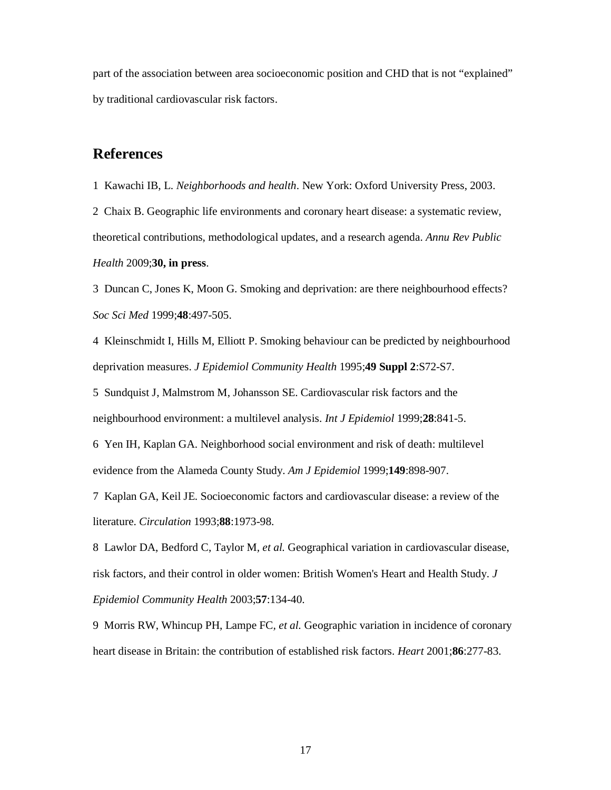part of the association between area socioeconomic position and CHD that is not "explained" by traditional cardiovascular risk factors.

### **References**

1 Kawachi IB, L. *Neighborhoods and health*. New York: Oxford University Press, 2003.

2 Chaix B. Geographic life environments and coronary heart disease: a systematic review, theoretical contributions, methodological updates, and a research agenda. *Annu Rev Public Health* 2009;**30, in press**.

3 Duncan C, Jones K, Moon G. Smoking and deprivation: are there neighbourhood effects? *Soc Sci Med* 1999;**48**:497-505.

4 Kleinschmidt I, Hills M, Elliott P. Smoking behaviour can be predicted by neighbourhood deprivation measures. *J Epidemiol Community Health* 1995;**49 Suppl 2**:S72-S7.

5 Sundquist J, Malmstrom M, Johansson SE. Cardiovascular risk factors and the neighbourhood environment: a multilevel analysis. *Int J Epidemiol* 1999;**28**:841-5.

6 Yen IH, Kaplan GA. Neighborhood social environment and risk of death: multilevel evidence from the Alameda County Study. *Am J Epidemiol* 1999;**149**:898-907.

7 Kaplan GA, Keil JE. Socioeconomic factors and cardiovascular disease: a review of the literature. *Circulation* 1993;**88**:1973-98.

8 Lawlor DA, Bedford C, Taylor M*, et al.* Geographical variation in cardiovascular disease, risk factors, and their control in older women: British Women's Heart and Health Study. *J Epidemiol Community Health* 2003;**57**:134-40.

9 Morris RW, Whincup PH, Lampe FC*, et al.* Geographic variation in incidence of coronary heart disease in Britain: the contribution of established risk factors. *Heart* 2001;**86**:277-83.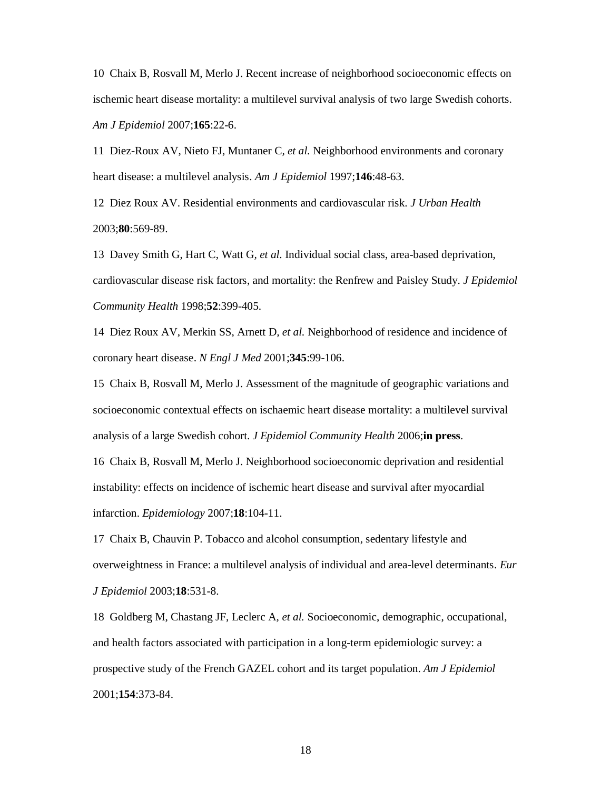10 Chaix B, Rosvall M, Merlo J. Recent increase of neighborhood socioeconomic effects on ischemic heart disease mortality: a multilevel survival analysis of two large Swedish cohorts. *Am J Epidemiol* 2007;**165**:22-6.

11 Diez-Roux AV, Nieto FJ, Muntaner C*, et al.* Neighborhood environments and coronary heart disease: a multilevel analysis. *Am J Epidemiol* 1997;**146**:48-63.

12 Diez Roux AV. Residential environments and cardiovascular risk. *J Urban Health* 2003;**80**:569-89.

13 Davey Smith G, Hart C, Watt G*, et al.* Individual social class, area-based deprivation, cardiovascular disease risk factors, and mortality: the Renfrew and Paisley Study. *J Epidemiol Community Health* 1998;**52**:399-405.

14 Diez Roux AV, Merkin SS, Arnett D*, et al.* Neighborhood of residence and incidence of coronary heart disease. *N Engl J Med* 2001;**345**:99-106.

15 Chaix B, Rosvall M, Merlo J. Assessment of the magnitude of geographic variations and socioeconomic contextual effects on ischaemic heart disease mortality: a multilevel survival analysis of a large Swedish cohort. *J Epidemiol Community Health* 2006;**in press**.

16 Chaix B, Rosvall M, Merlo J. Neighborhood socioeconomic deprivation and residential instability: effects on incidence of ischemic heart disease and survival after myocardial infarction. *Epidemiology* 2007;**18**:104-11.

17 Chaix B, Chauvin P. Tobacco and alcohol consumption, sedentary lifestyle and overweightness in France: a multilevel analysis of individual and area-level determinants. *Eur J Epidemiol* 2003;**18**:531-8.

18 Goldberg M, Chastang JF, Leclerc A*, et al.* Socioeconomic, demographic, occupational, and health factors associated with participation in a long-term epidemiologic survey: a prospective study of the French GAZEL cohort and its target population. *Am J Epidemiol* 2001;**154**:373-84.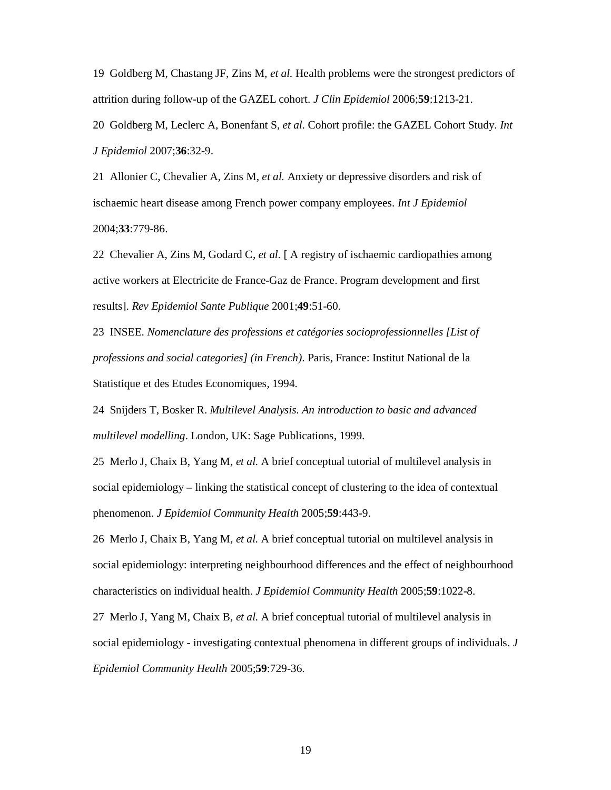19 Goldberg M, Chastang JF, Zins M*, et al.* Health problems were the strongest predictors of attrition during follow-up of the GAZEL cohort. *J Clin Epidemiol* 2006;**59**:1213-21.

20 Goldberg M, Leclerc A, Bonenfant S*, et al.* Cohort profile: the GAZEL Cohort Study. *Int J Epidemiol* 2007;**36**:32-9.

21 Allonier C, Chevalier A, Zins M*, et al.* Anxiety or depressive disorders and risk of ischaemic heart disease among French power company employees. *Int J Epidemiol* 2004;**33**:779-86.

22 Chevalier A, Zins M, Godard C*, et al.* [ A registry of ischaemic cardiopathies among active workers at Electricite de France-Gaz de France. Program development and first results]. *Rev Epidemiol Sante Publique* 2001;**49**:51-60.

23 INSEE. *Nomenclature des professions et catégories socioprofessionnelles [List of professions and social categories] (in French)*. Paris, France: Institut National de la Statistique et des Etudes Economiques, 1994.

24 Snijders T, Bosker R. *Multilevel Analysis. An introduction to basic and advanced multilevel modelling*. London, UK: Sage Publications, 1999.

25 Merlo J, Chaix B, Yang M*, et al.* A brief conceptual tutorial of multilevel analysis in social epidemiology – linking the statistical concept of clustering to the idea of contextual phenomenon. *J Epidemiol Community Health* 2005;**59**:443-9.

26 Merlo J, Chaix B, Yang M*, et al.* A brief conceptual tutorial on multilevel analysis in social epidemiology: interpreting neighbourhood differences and the effect of neighbourhood characteristics on individual health. *J Epidemiol Community Health* 2005;**59**:1022-8.

27 Merlo J, Yang M, Chaix B*, et al.* A brief conceptual tutorial of multilevel analysis in social epidemiology - investigating contextual phenomena in different groups of individuals. *J Epidemiol Community Health* 2005;**59**:729-36.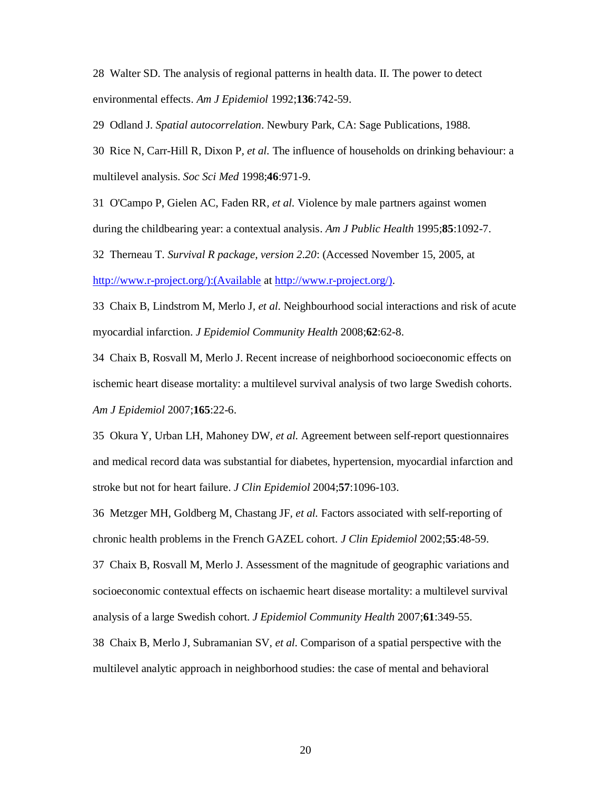28 Walter SD. The analysis of regional patterns in health data. II. The power to detect environmental effects. *Am J Epidemiol* 1992;**136**:742-59.

29 Odland J. *Spatial autocorrelation*. Newbury Park, CA: Sage Publications, 1988.

30 Rice N, Carr-Hill R, Dixon P*, et al.* The influence of households on drinking behaviour: a multilevel analysis. *Soc Sci Med* 1998;**46**:971-9.

31 O'Campo P, Gielen AC, Faden RR*, et al.* Violence by male partners against women during the childbearing year: a contextual analysis. *Am J Public Health* 1995;**85**:1092-7.

32 Therneau T. *Survival R package, version 2.20*: (Accessed November 15, 2005, at

http://www.r-project.org/):(Available at http://www.r-project.org/).

33 Chaix B, Lindstrom M, Merlo J*, et al.* Neighbourhood social interactions and risk of acute myocardial infarction. *J Epidemiol Community Health* 2008;**62**:62-8.

34 Chaix B, Rosvall M, Merlo J. Recent increase of neighborhood socioeconomic effects on ischemic heart disease mortality: a multilevel survival analysis of two large Swedish cohorts. *Am J Epidemiol* 2007;**165**:22-6.

35 Okura Y, Urban LH, Mahoney DW*, et al.* Agreement between self-report questionnaires and medical record data was substantial for diabetes, hypertension, myocardial infarction and stroke but not for heart failure. *J Clin Epidemiol* 2004;**57**:1096-103.

36 Metzger MH, Goldberg M, Chastang JF*, et al.* Factors associated with self-reporting of chronic health problems in the French GAZEL cohort. *J Clin Epidemiol* 2002;**55**:48-59.

37 Chaix B, Rosvall M, Merlo J. Assessment of the magnitude of geographic variations and socioeconomic contextual effects on ischaemic heart disease mortality: a multilevel survival analysis of a large Swedish cohort. *J Epidemiol Community Health* 2007;**61**:349-55.

38 Chaix B, Merlo J, Subramanian SV*, et al.* Comparison of a spatial perspective with the multilevel analytic approach in neighborhood studies: the case of mental and behavioral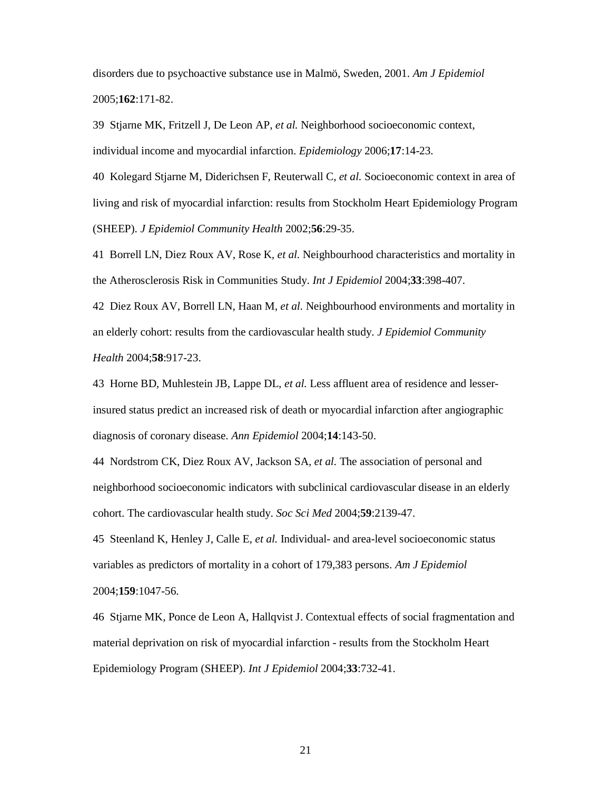disorders due to psychoactive substance use in Malmö, Sweden, 2001. *Am J Epidemiol* 2005;**162**:171-82.

39 Stjarne MK, Fritzell J, De Leon AP*, et al.* Neighborhood socioeconomic context, individual income and myocardial infarction. *Epidemiology* 2006;**17**:14-23.

40 Kolegard Stjarne M, Diderichsen F, Reuterwall C*, et al.* Socioeconomic context in area of living and risk of myocardial infarction: results from Stockholm Heart Epidemiology Program (SHEEP). *J Epidemiol Community Health* 2002;**56**:29-35.

41 Borrell LN, Diez Roux AV, Rose K*, et al.* Neighbourhood characteristics and mortality in the Atherosclerosis Risk in Communities Study. *Int J Epidemiol* 2004;**33**:398-407.

42 Diez Roux AV, Borrell LN, Haan M*, et al.* Neighbourhood environments and mortality in an elderly cohort: results from the cardiovascular health study. *J Epidemiol Community Health* 2004;**58**:917-23.

43 Horne BD, Muhlestein JB, Lappe DL*, et al.* Less affluent area of residence and lesserinsured status predict an increased risk of death or myocardial infarction after angiographic diagnosis of coronary disease. *Ann Epidemiol* 2004;**14**:143-50.

44 Nordstrom CK, Diez Roux AV, Jackson SA*, et al.* The association of personal and neighborhood socioeconomic indicators with subclinical cardiovascular disease in an elderly cohort. The cardiovascular health study. *Soc Sci Med* 2004;**59**:2139-47.

45 Steenland K, Henley J, Calle E*, et al.* Individual- and area-level socioeconomic status variables as predictors of mortality in a cohort of 179,383 persons. *Am J Epidemiol*

#### 2004;**159**:1047-56.

46 Stjarne MK, Ponce de Leon A, Hallqvist J. Contextual effects of social fragmentation and material deprivation on risk of myocardial infarction - results from the Stockholm Heart Epidemiology Program (SHEEP). *Int J Epidemiol* 2004;**33**:732-41.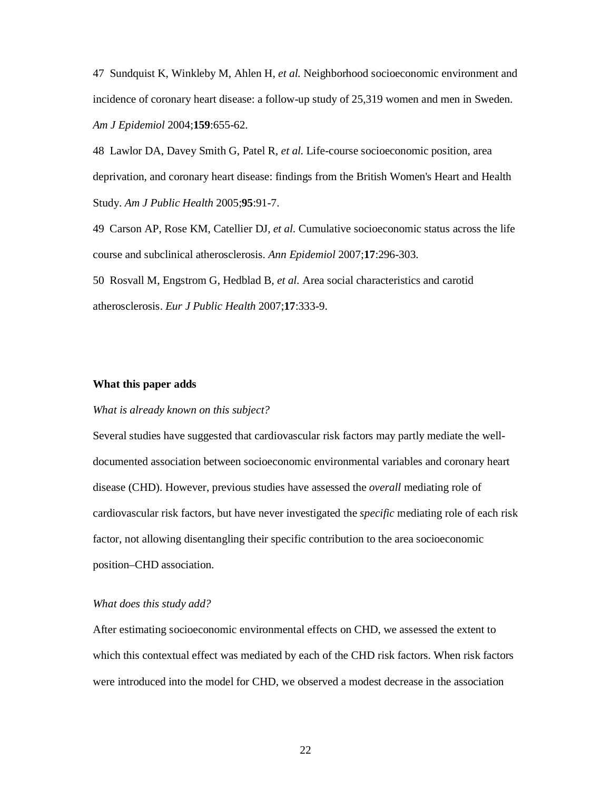47 Sundquist K, Winkleby M, Ahlen H*, et al.* Neighborhood socioeconomic environment and incidence of coronary heart disease: a follow-up study of 25,319 women and men in Sweden. *Am J Epidemiol* 2004;**159**:655-62.

48 Lawlor DA, Davey Smith G, Patel R*, et al.* Life-course socioeconomic position, area deprivation, and coronary heart disease: findings from the British Women's Heart and Health Study. *Am J Public Health* 2005;**95**:91-7.

49 Carson AP, Rose KM, Catellier DJ*, et al.* Cumulative socioeconomic status across the life course and subclinical atherosclerosis. *Ann Epidemiol* 2007;**17**:296-303.

50 Rosvall M, Engstrom G, Hedblad B*, et al.* Area social characteristics and carotid atherosclerosis. *Eur J Public Health* 2007;**17**:333-9.

#### **What this paper adds**

#### *What is already known on this subject?*

Several studies have suggested that cardiovascular risk factors may partly mediate the welldocumented association between socioeconomic environmental variables and coronary heart disease (CHD). However, previous studies have assessed the *overall* mediating role of cardiovascular risk factors, but have never investigated the *specific* mediating role of each risk factor, not allowing disentangling their specific contribution to the area socioeconomic position–CHD association.

#### *What does this study add?*

After estimating socioeconomic environmental effects on CHD, we assessed the extent to which this contextual effect was mediated by each of the CHD risk factors. When risk factors were introduced into the model for CHD, we observed a modest decrease in the association